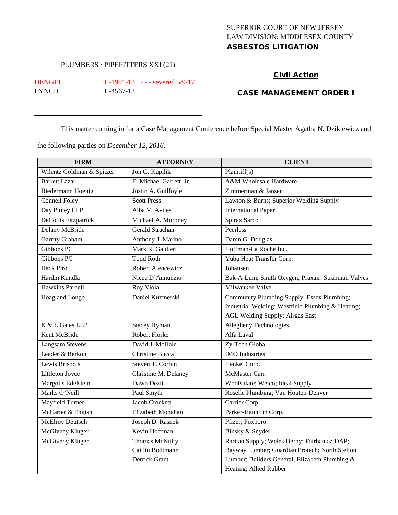# SUPERIOR COURT OF NEW JERSEY LAW DIVISION: MIDDLESEX COUNTY ASBESTOS LITIGATION

### PLUMBERS / PIPEFITTERS XXI (21)

LYNCH L-4567-13

DENGEL L-1991-13 - - - severed 5/9/17

## Civil Action

### CASE MANAGEMENT ORDER I

This matter coming in for a Case Management Conference before Special Master Agatha N. Dzikiewicz and

the following parties on *December 12, 2016:*

| <b>FIRM</b>               | <b>ATTORNEY</b>         | <b>CLIENT</b>                                     |
|---------------------------|-------------------------|---------------------------------------------------|
| Wilentz Goldman & Spitzer | Jon G. Kupilik          | Plaintiff(s)                                      |
| <b>Barrett Lazar</b>      | E. Michael Garrett, Jr. | A&M Wholesale Hardware                            |
| Biedermann Hoenig         | Justin A. Guilfoyle     | Zimmerman & Jansen                                |
| <b>Connell Foley</b>      | <b>Scott Press</b>      | Lawton & Burns; Superior Welding Supply           |
| Day Pitney LLP            | Alba V. Aviles          | <b>International Paper</b>                        |
| DeCotiis Fitzpatrick      | Michael A. Moroney      | Spirax Sarco                                      |
| Delany McBride            | Gerald Strachan         | Peerless                                          |
| Garrity Graham            | Anthony J. Marino       | Damn G. Douglas                                   |
| Gibbons PC                | Mark R. Galdieri        | Hoffman-La Roche Inc.                             |
| Gibbons PC                | <b>Todd Roth</b>        | Yuba Heat Transfer Corp.                          |
| <b>Hack Piro</b>          | Robert Alencewicz       | Johansen                                          |
| Hardin Kundla             | Nicea D'Annunzio        | Bak-A-Lum; Smith Oxygen; Praxair; Strahman Valves |
| <b>Hawkins Parnell</b>    | Roy Viola               | Milwaukee Valve                                   |
| Hoagland Longo            | Daniel Kuzmerski        | Community Plumbing Supply; Essex Plumbing;        |
|                           |                         | Industrial Welding; Westfield Plumbing & Heating; |
|                           |                         | AGL Welding Supply; Airgas East                   |
| K & L Gates LLP           | <b>Stacey Hyman</b>     | Allegheny Technologies                            |
| Kent McBride              | <b>Robert Florke</b>    | Alfa Laval                                        |
| Langsam Stevens           | David J. McHale         | Zy-Tech Global                                    |
| Leader & Berkon           | Christine Bucca         | <b>IMO</b> Industries                             |
| Lewis Brisbois            | Steven T. Corbin        | Henkel Corp.                                      |
| Littleton Joyce           | Christine M. Delaney    | <b>McMaster Carr</b>                              |
| Margolis Edelstein        | Dawn Dezii              | Woolsulate; Welco; Ideal Supply                   |
| Marks O'Neill             | Paul Smyth              | Roselle Plumbing; Van Houten-Denver               |
| Mayfield Turner           | <b>Jacob Crockett</b>   | Carrier Corp.                                     |
| McCarter & Engish         | Elizabeth Monahan       | Parker-Hannifin Corp.                             |
| <b>McElroy Deutsch</b>    | Joseph D. Rasnek        | Pfizer; Foxboro                                   |
| McGivney Kluger           | Kevin Hoffman           | Binsky & Snyder                                   |
| McGivney Kluger           | Thomas McNulty          | Raritan Supply; Weles Derby; Fairbanks; DAP;      |
|                           | Caitlin Bodtmann        | Bayway Lumber; Guardian Protech; North Stelton    |
|                           | Derrick Grant           | Lumber; Builders General; Elizabeth Plumbing &    |
|                           |                         | Heating; Allied Rubber                            |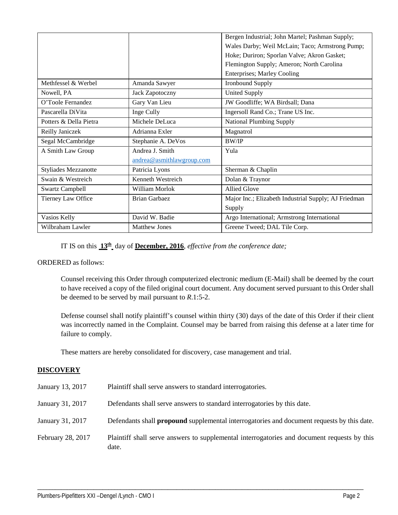|                             |                           | Bergen Industrial; John Martel; Pashman Supply;      |
|-----------------------------|---------------------------|------------------------------------------------------|
|                             |                           | Wales Darby; Weil McLain; Taco; Armstrong Pump;      |
|                             |                           | Hoke; Duriron; Sporlan Valve; Akron Gasket;          |
|                             |                           | Flemington Supply; Ameron; North Carolina            |
|                             |                           | <b>Enterprises</b> ; Marley Cooling                  |
| Methfessel & Werbel         | Amanda Sawyer             | <b>Ironbound Supply</b>                              |
| Nowell, PA                  | <b>Jack Zapotoczny</b>    | <b>United Supply</b>                                 |
| O'Toole Fernandez           | Gary Van Lieu             | JW Goodliffe; WA Birdsall; Dana                      |
| Pascarella DiVita           | Inge Cully                | Ingersoll Rand Co.; Trane US Inc.                    |
| Potters & Della Pietra      | Michele DeLuca            | <b>National Plumbing Supply</b>                      |
| Reilly Janiczek             | Adrianna Exler            | Magnatrol                                            |
| Segal McCambridge           | Stephanie A. DeVos        | <b>BW/IP</b>                                         |
| A Smith Law Group           | Andrea J. Smith           | Yula                                                 |
|                             | andrea@asmithlawgroup.com |                                                      |
| <b>Styliades Mezzanotte</b> | Patricia Lyons            | Sherman & Chaplin                                    |
| Swain & Westreich           | Kenneth Westreich         | Dolan & Traynor                                      |
| <b>Swartz Campbell</b>      | William Morlok            | <b>Allied Glove</b>                                  |
| Tierney Law Office          | <b>Brian Garbaez</b>      | Major Inc.; Elizabeth Industrial Supply; AJ Friedman |
|                             |                           | Supply                                               |
| Vasios Kelly                | David W. Badie            | Argo International; Armstrong International          |
| Wilbraham Lawler            | <b>Matthew Jones</b>      | Greene Tweed; DAL Tile Corp.                         |

IT IS on this **13th** day of **December, 2016**, *effective from the conference date;*

### ORDERED as follows:

Counsel receiving this Order through computerized electronic medium (E-Mail) shall be deemed by the court to have received a copy of the filed original court document. Any document served pursuant to this Order shall be deemed to be served by mail pursuant to *R*.1:5-2.

Defense counsel shall notify plaintiff's counsel within thirty (30) days of the date of this Order if their client was incorrectly named in the Complaint. Counsel may be barred from raising this defense at a later time for failure to comply.

These matters are hereby consolidated for discovery, case management and trial.

## **DISCOVERY**

| January 13, 2017  | Plaintiff shall serve answers to standard interrogatories.                                           |
|-------------------|------------------------------------------------------------------------------------------------------|
| January 31, 2017  | Defendants shall serve answers to standard interrogatories by this date.                             |
| January 31, 2017  | Defendants shall <b>propound</b> supplemental interrogatories and document requests by this date.    |
| February 28, 2017 | Plaintiff shall serve answers to supplemental interrogatories and document requests by this<br>date. |

\_\_\_\_\_\_\_\_\_\_\_\_\_\_\_\_\_\_\_\_\_\_\_\_\_\_\_\_\_\_\_\_\_\_\_\_\_\_\_\_\_\_\_\_\_\_\_\_\_\_\_\_\_\_\_\_\_\_\_\_\_\_\_\_\_\_\_\_\_\_\_\_\_\_\_\_\_\_\_\_\_\_\_\_\_\_\_\_\_\_\_\_\_\_\_\_\_\_\_\_\_\_\_\_\_\_\_\_\_\_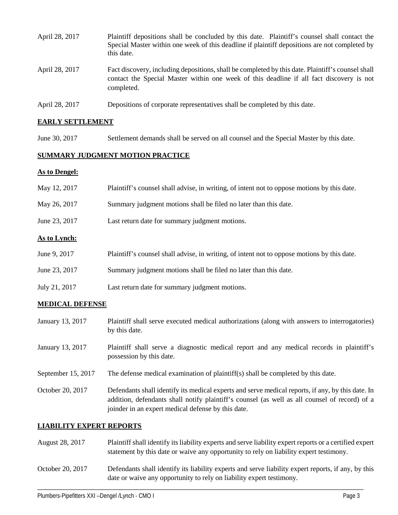| April 28, 2017 | Plaintiff depositions shall be concluded by this date. Plaintiff's counsel shall contact the<br>Special Master within one week of this deadline if plaintiff depositions are not completed by<br>this date. |
|----------------|-------------------------------------------------------------------------------------------------------------------------------------------------------------------------------------------------------------|
| April 28, 2017 | Fact discovery, including depositions, shall be completed by this date. Plaintiff's counsel shall<br>contact the Special Master within one week of this deadline if all fact discovery is not<br>completed. |
| April 28, 2017 | Depositions of corporate representatives shall be completed by this date.                                                                                                                                   |

## **EARLY SETTLEMENT**

June 30, 2017 Settlement demands shall be served on all counsel and the Special Master by this date.

# **SUMMARY JUDGMENT MOTION PRACTICE**

## **As to Dengel:**

| May 12, 2017        | Plaintiff's counsel shall advise, in writing, of intent not to oppose motions by this date. |
|---------------------|---------------------------------------------------------------------------------------------|
| May 26, 2017        | Summary judgment motions shall be filed no later than this date.                            |
| June 23, 2017       | Last return date for summary judgment motions.                                              |
| <b>As to Lynch:</b> |                                                                                             |
| June 9, 2017        | Plaintiff's counsel shall advise, in writing, of intent not to oppose motions by this date. |
| June 23, 2017       | Summary judgment motions shall be filed no later than this date.                            |
| July 21, 2017       | Last return date for summary judgment motions.                                              |

## **MEDICAL DEFENSE**

| January 13, 2017   | Plaintiff shall serve executed medical authorizations (along with answers to interrogatories)<br>by this date.                                                                                                                                           |
|--------------------|----------------------------------------------------------------------------------------------------------------------------------------------------------------------------------------------------------------------------------------------------------|
| January 13, 2017   | Plaintiff shall serve a diagnostic medical report and any medical records in plaintiff's<br>possession by this date.                                                                                                                                     |
| September 15, 2017 | The defense medical examination of plaintiff(s) shall be completed by this date.                                                                                                                                                                         |
| October 20, 2017   | Defendants shall identify its medical experts and serve medical reports, if any, by this date. In<br>addition, defendants shall notify plaintiff's counsel (as well as all counsel of record) of a<br>joinder in an expert medical defense by this date. |

## **LIABILITY EXPERT REPORTS**

| August 28, 2017  | Plaintiff shall identify its liability experts and serve liability expert reports or a certified expert<br>statement by this date or waive any opportunity to rely on liability expert testimony. |
|------------------|---------------------------------------------------------------------------------------------------------------------------------------------------------------------------------------------------|
| October 20, 2017 | Defendants shall identify its liability experts and serve liability expert reports, if any, by this<br>date or waive any opportunity to rely on liability expert testimony.                       |